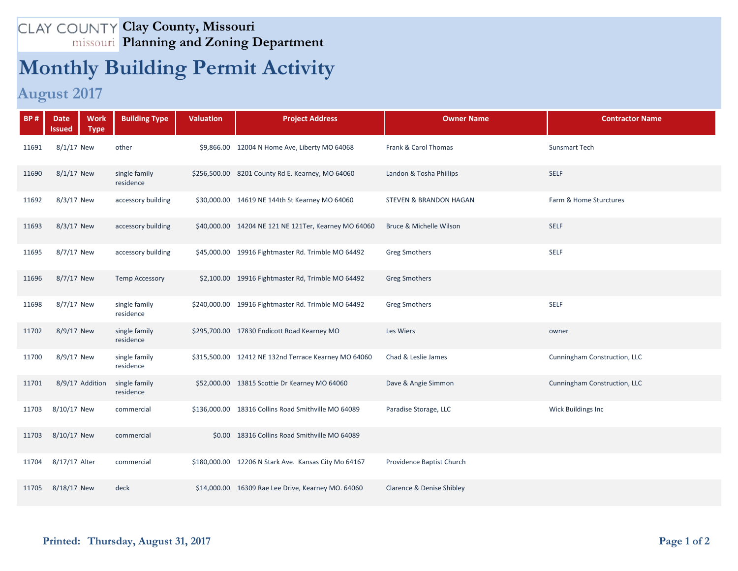## **Clay County, Missouri Planning and Zoning Department**

## **Monthly Building Permit Activity**

## **August 2017**

| <b>BP#</b> | <b>Work</b><br><b>Date</b><br><b>Type</b><br>Issued | <b>Building Type</b>       | <b>Valuation</b> | <b>Project Address</b>                                | <b>Owner Name</b>                 | <b>Contractor Name</b>       |
|------------|-----------------------------------------------------|----------------------------|------------------|-------------------------------------------------------|-----------------------------------|------------------------------|
| 11691      | 8/1/17 New                                          | other                      |                  | \$9,866.00 12004 N Home Ave, Liberty MO 64068         | Frank & Carol Thomas              | <b>Sunsmart Tech</b>         |
| 11690      | 8/1/17 New                                          | single family<br>residence |                  | \$256,500.00 8201 County Rd E. Kearney, MO 64060      | Landon & Tosha Phillips           | <b>SELF</b>                  |
| 11692      | 8/3/17 New                                          | accessory building         |                  | \$30,000.00 14619 NE 144th St Kearney MO 64060        | <b>STEVEN &amp; BRANDON HAGAN</b> | Farm & Home Sturctures       |
| 11693      | 8/3/17 New                                          | accessory building         |                  | \$40,000.00 14204 NE 121 NE 121 Ter, Kearney MO 64060 | Bruce & Michelle Wilson           | <b>SELF</b>                  |
| 11695      | 8/7/17 New                                          | accessory building         |                  | \$45,000.00 19916 Fightmaster Rd. Trimble MO 64492    | <b>Greg Smothers</b>              | <b>SELF</b>                  |
| 11696      | 8/7/17 New                                          | <b>Temp Accessory</b>      |                  | \$2,100.00 19916 Fightmaster Rd, Trimble MO 64492     | <b>Greg Smothers</b>              |                              |
| 11698      | 8/7/17 New                                          | single family<br>residence |                  | \$240,000.00 19916 Fightmaster Rd. Trimble MO 64492   | <b>Greg Smothers</b>              | <b>SELF</b>                  |
| 11702      | 8/9/17 New                                          | single family<br>residence |                  | \$295,700.00 17830 Endicott Road Kearney MO           | Les Wiers                         | owner                        |
| 11700      | 8/9/17 New                                          | single family<br>residence |                  | \$315,500.00 12412 NE 132nd Terrace Kearney MO 64060  | Chad & Leslie James               | Cunningham Construction, LLC |
| 11701      | 8/9/17 Addition                                     | single family<br>residence |                  | \$52,000.00 13815 Scottie Dr Kearney MO 64060         | Dave & Angie Simmon               | Cunningham Construction, LLC |
| 11703      | 8/10/17 New                                         | commercial                 |                  | \$136,000.00 18316 Collins Road Smithville MO 64089   | Paradise Storage, LLC             | Wick Buildings Inc           |
| 11703      | 8/10/17 New                                         | commercial                 |                  | \$0.00 18316 Collins Road Smithville MO 64089         |                                   |                              |
| 11704      | 8/17/17 Alter                                       | commercial                 |                  | \$180,000.00 12206 N Stark Ave. Kansas City Mo 64167  | Providence Baptist Church         |                              |
| 11705      | 8/18/17 New                                         | deck                       |                  | \$14,000.00 16309 Rae Lee Drive, Kearney MO. 64060    | Clarence & Denise Shibley         |                              |